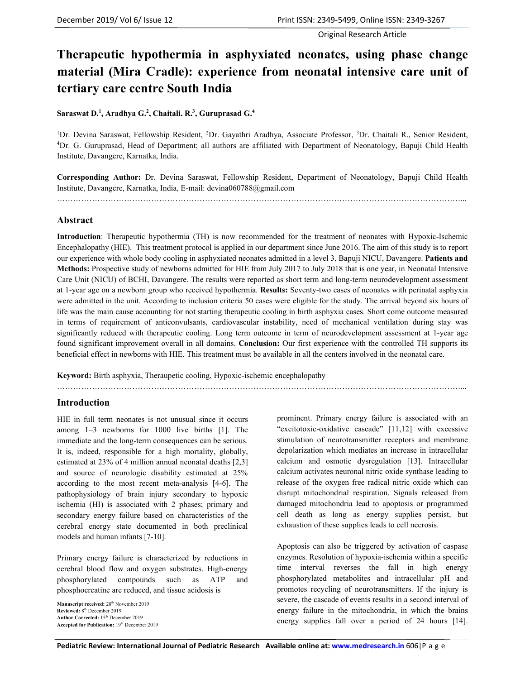# **Therapeutic hypothermia in asphyxiated neonates, using phase change material (Mira Cradle): experience from neonatal intensive care unit of tertiary care centre South India**

#### **Saraswat D.<sup>1</sup> , Aradhya G.<sup>2</sup> , Chaitali. R.<sup>3</sup> , Guruprasad G.<sup>4</sup>**

<sup>1</sup>Dr. Devina Saraswat, Fellowship Resident, <sup>2</sup>Dr. Gayathri Aradhya, Associate Professor, <sup>3</sup>Dr. Chaitali R., Senior Resident, <sup>4</sup>Dr. G. Guruprasad, Head of Department; all authors are affiliated with Department of Neonatology, Bapuji Child Health Institute, Davangere, Karnatka, India.

**Corresponding Author:** Dr. Devina Saraswat, Fellowship Resident, Department of Neonatology, Bapuji Child Health Institute, Davangere, Karnatka, India, E-mail: devina060788@gmail.com

……………………………………………………………………………………………………………………………………...

#### **Abstract**

**Introduction**: Therapeutic hypothermia (TH) is now recommended for the treatment of neonates with Hypoxic-Ischemic Encephalopathy (HIE). This treatment protocol is applied in our department since June 2016. The aim of this study is to report our experience with whole body cooling in asphyxiated neonates admitted in a level 3, Bapuji NICU, Davangere. **Patients and Methods:** Prospective study of newborns admitted for HIE from July 2017 to July 2018 that is one year, in Neonatal Intensive Care Unit (NICU) of BCHI, Davangere. The results were reported as short term and long-term neurodevelopment assessment at 1-year age on a newborn group who received hypothermia. **Results:** Seventy-two cases of neonates with perinatal asphyxia were admitted in the unit. According to inclusion criteria 50 cases were eligible for the study. The arrival beyond six hours of life was the main cause accounting for not starting therapeutic cooling in birth asphyxia cases. Short come outcome measured in terms of requirement of anticonvulsants, cardiovascular instability, need of mechanical ventilation during stay was significantly reduced with therapeutic cooling. Long term outcome in term of neurodevelopment assessment at 1-year age found significant improvement overall in all domains. **Conclusion:** Our first experience with the controlled TH supports its beneficial effect in newborns with HIE. This treatment must be available in all the centers involved in the neonatal care.

**Keyword:** Birth asphyxia, Theraupetic cooling, Hypoxic-ischemic encephalopathy

……………………………………………………………………………………………………………………………………...

### **Introduction**

HIE in full term neonates is not unusual since it occurs among 1–3 newborns for 1000 live births [1]. The immediate and the long-term consequences can be serious. It is, indeed, responsible for a high mortality, globally, estimated at 23% of 4 million annual neonatal deaths [2,3] and source of neurologic disability estimated at 25% according to the most recent meta-analysis [4-6]. The pathophysiology of brain injury secondary to hypoxic ischemia (HI) is associated with 2 phases; primary and secondary energy failure based on characteristics of the cerebral energy state documented in both preclinical models and human infants [7-10].

Primary energy failure is characterized by reductions in cerebral blood flow and oxygen substrates. High-energy phosphorylated compounds such as ATP and phosphocreatine are reduced, and tissue acidosis is

**Manuscript received:** 28th November 2019 **Reviewed:** 8th December 2019 **Author Corrected:** 15th December 2019 Accepted for Publication: 19th December 2019 prominent. Primary energy failure is associated with an "excitotoxic-oxidative cascade" [11,12] with excessive stimulation of neurotransmitter receptors and membrane depolarization which mediates an increase in intracellular calcium and osmotic dysregulation [13]. Intracellular calcium activates neuronal nitric oxide synthase leading to release of the oxygen free radical nitric oxide which can disrupt mitochondrial respiration. Signals released from damaged mitochondria lead to apoptosis or programmed cell death as long as energy supplies persist, but exhaustion of these supplies leads to cell necrosis.

Apoptosis can also be triggered by activation of caspase enzymes. Resolution of hypoxia-ischemia within a specific time interval reverses the fall in high energy phosphorylated metabolites and intracellular pH and promotes recycling of neurotransmitters. If the injury is severe, the cascade of events results in a second interval of energy failure in the mitochondria, in which the brains energy supplies fall over a period of 24 hours [14].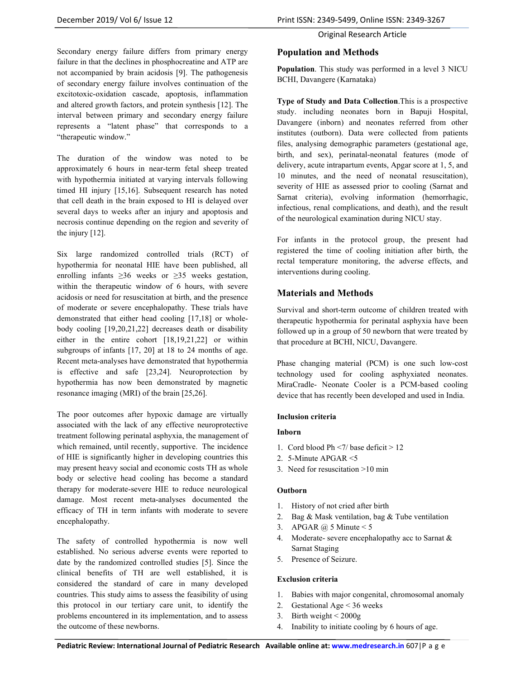Secondary energy failure differs from primary energy failure in that the declines in phosphocreatine and ATP are not accompanied by brain acidosis [9]. The pathogenesis of secondary energy failure involves continuation of the excitotoxic-oxidation cascade, apoptosis, inflammation and altered growth factors, and protein synthesis [12]. The interval between primary and secondary energy failure represents a "latent phase" that corresponds to a "therapeutic window."

The duration of the window was noted to be approximately 6 hours in near-term fetal sheep treated with hypothermia initiated at varying intervals following timed HI injury [15,16]. Subsequent research has noted that cell death in the brain exposed to HI is delayed over several days to weeks after an injury and apoptosis and necrosis continue depending on the region and severity of the injury [12].

Six large randomized controlled trials (RCT) of hypothermia for neonatal HIE have been published, all enrolling infants  $\geq 36$  weeks or  $\geq 35$  weeks gestation, within the therapeutic window of 6 hours, with severe acidosis or need for resuscitation at birth, and the presence of moderate or severe encephalopathy. These trials have demonstrated that either head cooling [17,18] or wholebody cooling [19,20,21,22] decreases death or disability either in the entire cohort [18,19,21,22] or within subgroups of infants [17, 20] at 18 to 24 months of age. Recent meta-analyses have demonstrated that hypothermia is effective and safe [23,24]. Neuroprotection by hypothermia has now been demonstrated by magnetic resonance imaging (MRI) of the brain [25,26].

The poor outcomes after hypoxic damage are virtually associated with the lack of any effective neuroprotective treatment following perinatal asphyxia, the management of which remained, until recently, supportive. The incidence of HIE is significantly higher in developing countries this may present heavy social and economic costs TH as whole body or selective head cooling has become a standard therapy for moderate-severe HIE to reduce neurological damage. Most recent meta-analyses documented the efficacy of TH in term infants with moderate to severe encephalopathy.

The safety of controlled hypothermia is now well established. No serious adverse events were reported to date by the randomized controlled studies [5]. Since the clinical benefits of TH are well established, it is considered the standard of care in many developed countries. This study aims to assess the feasibility of using this protocol in our tertiary care unit, to identify the problems encountered in its implementation, and to assess the outcome of these newborns.

#### Original Research Article

## **Population and Methods**

**Population**. This study was performed in a level 3 NICU BCHI, Davangere (Karnataka)

**Type of Study and Data Collection**.This is a prospective study. including neonates born in Bapuji Hospital, Davangere (inborn) and neonates referred from other institutes (outborn). Data were collected from patients files, analysing demographic parameters (gestational age, birth, and sex), perinatal-neonatal features (mode of delivery, acute intrapartum events, Apgar score at 1, 5, and 10 minutes, and the need of neonatal resuscitation), severity of HIE as assessed prior to cooling (Sarnat and Sarnat criteria), evolving information (hemorrhagic, infectious, renal complications, and death), and the result of the neurological examination during NICU stay.

For infants in the protocol group, the present had registered the time of cooling initiation after birth, the rectal temperature monitoring, the adverse effects, and interventions during cooling.

## **Materials and Methods**

Survival and short-term outcome of children treated with therapeutic hypothermia for perinatal asphyxia have been followed up in a group of 50 newborn that were treated by that procedure at BCHI, NICU, Davangere.

Phase changing material (PCM) is one such low-cost technology used for cooling asphyxiated neonates. MiraCradle- Neonate Cooler is a PCM-based cooling device that has recently been developed and used in India.

#### **Inclusion criteria**

#### **Inborn**

- 1. Cord blood Ph <7/ base deficit > 12
- 2. 5-Minute APGAR <5
- 3. Need for resuscitation >10 min

#### **Outborn**

- 1. History of not cried after birth
- 2. Bag & Mask ventilation, bag & Tube ventilation
- 3. APGAR  $\omega$  5 Minute < 5
- 4. Moderate- severe encephalopathy acc to Sarnat & Sarnat Staging
- 5. Presence of Seizure.

#### **Exclusion criteria**

- 1. Babies with major congenital, chromosomal anomaly
- 2. Gestational Age < 36 weeks
- 3. Birth weight  $\leq 2000g$
- 4. Inability to initiate cooling by 6 hours of age.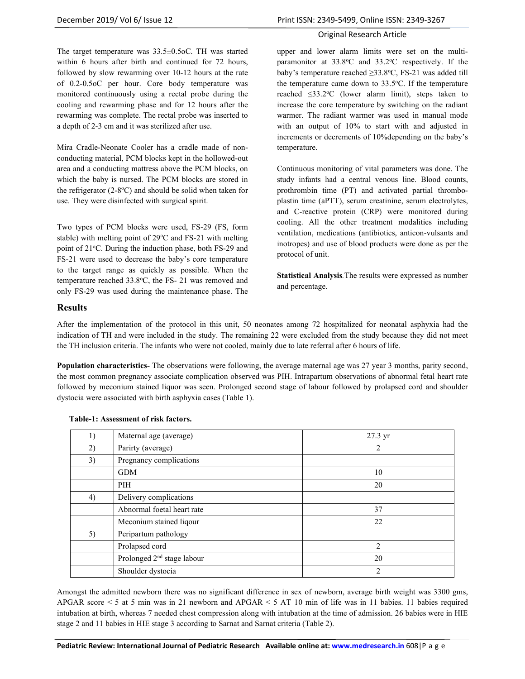The target temperature was 33.5±0.5oC. TH was started within 6 hours after birth and continued for 72 hours, followed by slow rewarming over 10-12 hours at the rate of 0.2-0.5oC per hour. Core body temperature was monitored continuously using a rectal probe during the cooling and rewarming phase and for 12 hours after the rewarming was complete. The rectal probe was inserted to a depth of 2-3 cm and it was sterilized after use.

Mira Cradle-Neonate Cooler has a cradle made of nonconducting material, PCM blocks kept in the hollowed-out area and a conducting mattress above the PCM blocks, on which the baby is nursed. The PCM blocks are stored in the refrigerator  $(2-8°C)$  and should be solid when taken for use. They were disinfected with surgical spirit.

Two types of PCM blocks were used, FS-29 (FS, form stable) with melting point of  $29^{\circ}$ C and FS-21 with melting point of 21°C. During the induction phase, both FS-29 and FS-21 were used to decrease the baby's core temperature to the target range as quickly as possible. When the temperature reached 33.8°C, the FS- 21 was removed and only FS-29 was used during the maintenance phase. The

upper and lower alarm limits were set on the multiparamonitor at  $33.8^{\circ}$ C and  $33.2^{\circ}$ C respectively. If the baby's temperature reached  $\geq$ 33.8°C, FS-21 was added till the temperature came down to  $33.5^{\circ}$ C. If the temperature reached  $\leq 33.2$ °C (lower alarm limit), steps taken to increase the core temperature by switching on the radiant warmer. The radiant warmer was used in manual mode with an output of 10% to start with and adjusted in increments or decrements of 10%depending on the baby's temperature.

Continuous monitoring of vital parameters was done. The study infants had a central venous line. Blood counts, prothrombin time (PT) and activated partial thromboplastin time (aPTT), serum creatinine, serum electrolytes, and C-reactive protein (CRP) were monitored during cooling. All the other treatment modalities including ventilation, medications (antibiotics, anticon-vulsants and inotropes) and use of blood products were done as per the protocol of unit.

**Statistical Analysis***.*The results were expressed as number and percentage.

#### **Results**

After the implementation of the protocol in this unit, 50 neonates among 72 hospitalized for neonatal asphyxia had the indication of TH and were included in the study. The remaining 22 were excluded from the study because they did not meet the TH inclusion criteria. The infants who were not cooled, mainly due to late referral after 6 hours of life.

**Population characteristics-** The observations were following, the average maternal age was 27 year 3 months, parity second, the most common pregnancy associate complication observed was PIH. Intrapartum observations of abnormal fetal heart rate followed by meconium stained liquor was seen. Prolonged second stage of labour followed by prolapsed cord and shoulder dystocia were associated with birth asphyxia cases (Table 1).

| 1) | Maternal age (average)                 | 27.3 yr        |
|----|----------------------------------------|----------------|
| 2) | Parirty (average)                      | 2              |
| 3) | Pregnancy complications                |                |
|    | <b>GDM</b>                             | 10             |
|    | PIH                                    | 20             |
| 4) | Delivery complications                 |                |
|    | Abnormal foetal heart rate             | 37             |
|    | Meconium stained liqour                | 22             |
| 5) | Peripartum pathology                   |                |
|    | Prolapsed cord                         | $\overline{c}$ |
|    | Prolonged 2 <sup>nd</sup> stage labour | 20             |
|    | Shoulder dystocia                      | 2              |

#### **Table-1: Assessment of risk factors.**

Amongst the admitted newborn there was no significant difference in sex of newborn, average birth weight was 3300 gms, APGAR score < 5 at 5 min was in 21 newborn and APGAR < 5 AT 10 min of life was in 11 babies. 11 babies required intubation at birth, whereas 7 needed chest compression along with intubation at the time of admission. 26 babies were in HIE stage 2 and 11 babies in HIE stage 3 according to Sarnat and Sarnat criteria (Table 2).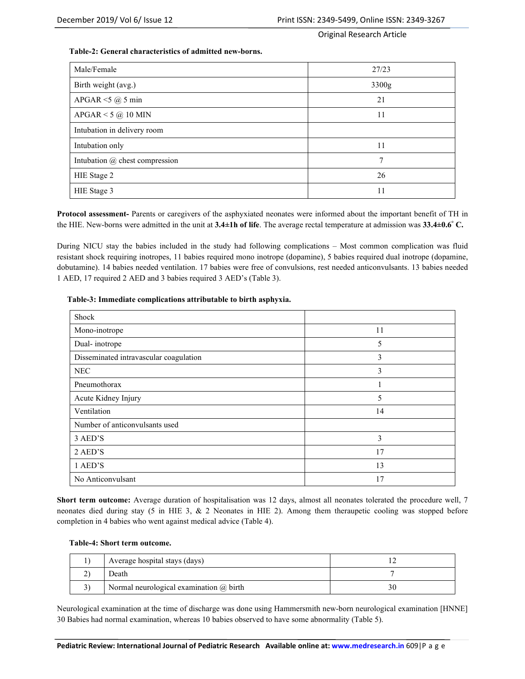#### **Table-2: General characteristics of admitted new-borns.**

| Male/Female                           | 27/23 |
|---------------------------------------|-------|
| Birth weight (avg.)                   | 3300g |
| APGAR $<$ 5 $@$ 5 min                 | 21    |
| $APGAR < 5$ @ 10 MIN                  | 11    |
| Intubation in delivery room           |       |
| Intubation only                       | 11    |
| Intubation $\omega$ chest compression | 7     |
| HIE Stage 2                           | 26    |
| HIE Stage 3                           | 11    |

**Protocol assessment-** Parents or caregivers of the asphyxiated neonates were informed about the important benefit of TH in the HIE. New-borns were admitted in the unit at **3.4±1h of life**. The average rectal temperature at admission was **33.4±0.6° C.** 

During NICU stay the babies included in the study had following complications – Most common complication was fluid resistant shock requiring inotropes, 11 babies required mono inotrope (dopamine), 5 babies required dual inotrope (dopamine, dobutamine). 14 babies needed ventilation. 17 babies were free of convulsions, rest needed anticonvulsants. 13 babies needed 1 AED, 17 required 2 AED and 3 babies required 3 AED's (Table 3).

#### **Table-3: Immediate complications attributable to birth asphyxia.**

| Shock                                  |    |
|----------------------------------------|----|
| Mono-inotrope                          | 11 |
| Dual-inotrope                          | 5  |
| Disseminated intravascular coagulation | 3  |
| <b>NEC</b>                             | 3  |
| Pneumothorax                           | 1  |
| Acute Kidney Injury                    | 5  |
| Ventilation                            | 14 |
| Number of anticonvulsants used         |    |
| 3 AED'S                                | 3  |
| 2 AED'S                                | 17 |
| 1 AED'S                                | 13 |
| No Anticonvulsant                      | 17 |

**Short term outcome:** Average duration of hospitalisation was 12 days, almost all neonates tolerated the procedure well, 7 neonates died during stay (5 in HIE 3, & 2 Neonates in HIE 2). Among them theraupetic cooling was stopped before completion in 4 babies who went against medical advice (Table 4).

#### **Table-4: Short term outcome.**

| Average hospital stays (days)                  |  |
|------------------------------------------------|--|
| Death                                          |  |
| Normal neurological examination $\omega$ birth |  |

Neurological examination at the time of discharge was done using Hammersmith new-born neurological examination [HNNE] 30 Babies had normal examination, whereas 10 babies observed to have some abnormality (Table 5).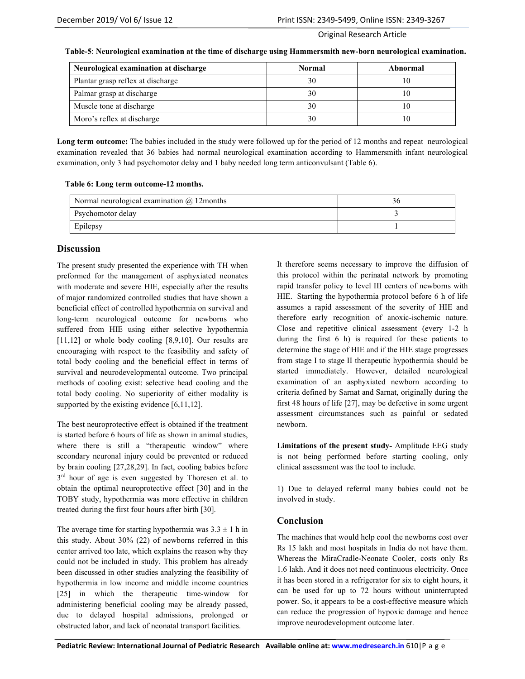|  | Table-5: Neurological examination at the time of discharge using Hammersmith new-born neurological examination. |
|--|-----------------------------------------------------------------------------------------------------------------|
|  |                                                                                                                 |

| Neurological examination at discharge | <b>Normal</b> | Abnormal |
|---------------------------------------|---------------|----------|
| Plantar grasp reflex at discharge     | 30            |          |
| Palmar grasp at discharge             | 30            |          |
| Muscle tone at discharge              | 30            |          |
| Moro's reflex at discharge            | 30            |          |

Long term outcome: The babies included in the study were followed up for the period of 12 months and repeat neurological examination revealed that 36 babies had normal neurological examination according to Hammersmith infant neurological examination, only 3 had psychomotor delay and 1 baby needed long term anticonvulsant (Table 6).

|  | Table 6: Long term outcome-12 months. |
|--|---------------------------------------|
|--|---------------------------------------|

| Normal neurological examination $\omega$ 12 months |  |
|----------------------------------------------------|--|
| Psychomotor delay                                  |  |
| Epilepsy                                           |  |

## **Discussion**

The present study presented the experience with TH when preformed for the management of asphyxiated neonates with moderate and severe HIE, especially after the results of major randomized controlled studies that have shown a beneficial effect of controlled hypothermia on survival and long-term neurological outcome for newborns who suffered from HIE using either selective hypothermia [11,12] or whole body cooling [8,9,10]. Our results are encouraging with respect to the feasibility and safety of total body cooling and the beneficial effect in terms of survival and neurodevelopmental outcome. Two principal methods of cooling exist: selective head cooling and the total body cooling. No superiority of either modality is supported by the existing evidence [6,11,12].

The best neuroprotective effect is obtained if the treatment is started before 6 hours of life as shown in animal studies, where there is still a "therapeutic window" where secondary neuronal injury could be prevented or reduced by brain cooling [27,28,29]. In fact, cooling babies before 3<sup>rd</sup> hour of age is even suggested by Thoresen et al. to obtain the optimal neuroprotective effect [30] and in the TOBY study, hypothermia was more effective in children treated during the first four hours after birth [30].

The average time for starting hypothermia was  $3.3 \pm 1$  h in this study. About 30% (22) of newborns referred in this center arrived too late, which explains the reason why they could not be included in study. This problem has already been discussed in other studies analyzing the feasibility of hypothermia in low income and middle income countries [25] in which the therapeutic time-window for administering beneficial cooling may be already passed, due to delayed hospital admissions, prolonged or obstructed labor, and lack of neonatal transport facilities.

It therefore seems necessary to improve the diffusion of this protocol within the perinatal network by promoting rapid transfer policy to level III centers of newborns with HIE. Starting the hypothermia protocol before 6 h of life assumes a rapid assessment of the severity of HIE and therefore early recognition of anoxic-ischemic nature. Close and repetitive clinical assessment (every 1-2 h during the first 6 h) is required for these patients to determine the stage of HIE and if the HIE stage progresses from stage I to stage II therapeutic hypothermia should be started immediately. However, detailed neurological examination of an asphyxiated newborn according to criteria defined by Sarnat and Sarnat, originally during the first 48 hours of life [27], may be defective in some urgent assessment circumstances such as painful or sedated newborn.

**Limitations of the present study-** Amplitude EEG study is not being performed before starting cooling, only clinical assessment was the tool to include.

1) Due to delayed referral many babies could not be involved in study.

## **Conclusion**

The machines that would help cool the newborns cost over Rs 15 lakh and most hospitals in India do not have them. Whereas the MiraCradle-Neonate Cooler, costs only Rs 1.6 lakh. And it does not need continuous electricity. Once it has been stored in a refrigerator for six to eight hours, it can be used for up to 72 hours without uninterrupted power. So, it appears to be a cost-effective measure which can reduce the progression of hypoxic damage and hence improve neurodevelopment outcome later.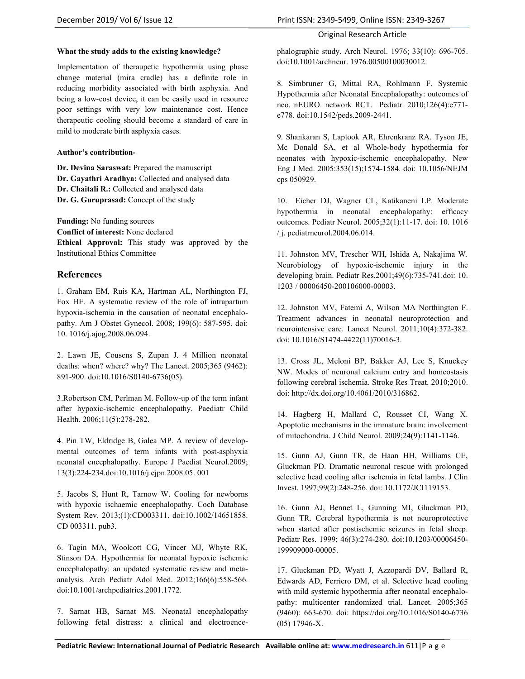**What the study adds to the existing knowledge?** 

Implementation of theraupetic hypothermia using phase change material (mira cradle) has a definite role in reducing morbidity associated with birth asphyxia. And being a low-cost device, it can be easily used in resource poor settings with very low maintenance cost. Hence therapeutic cooling should become a standard of care in mild to moderate birth asphyxia cases.

#### **Author's contribution-**

**Dr. Devina Saraswat:** Prepared the manuscript **Dr. Gayathri Aradhya:** Collected and analysed data **Dr. Chaitali R.:** Collected and analysed data **Dr. G. Guruprasad:** Concept of the study

**Funding:** No funding sources **Conflict of interest:** None declared **Ethical Approval:** This study was approved by the Institutional Ethics Committee

## **References**

1. Graham EM, Ruis KA, Hartman AL, Northington FJ, Fox HE. A systematic review of the role of intrapartum hypoxia-ischemia in the causation of neonatal encephalopathy. Am J Obstet Gynecol. 2008; 199(6): 587-595. doi: 10. 1016/j.ajog.2008.06.094.

2. Lawn JE, Cousens S, Zupan J. 4 Million neonatal deaths: when? where? why? The Lancet. 2005;365 (9462): 891-900. doi:10.1016/S0140-6736(05).

3.Robertson CM, Perlman M. Follow-up of the term infant after hypoxic-ischemic encephalopathy. Paediatr Child Health. 2006;11(5):278-282.

4. Pin TW, Eldridge B, Galea MP. A review of developmental outcomes of term infants with post-asphyxia neonatal encephalopathy. Europe J Paediat Neurol.2009; 13(3):224-234.doi:10.1016/j.ejpn.2008.05. 001

5. Jacobs S, Hunt R, Tarnow W. Cooling for newborns with hypoxic ischaemic encephalopathy. Coch Database System Rev. 2013;(1):CD003311. doi:10.1002/14651858. CD 003311. pub3.

6. Tagin MA, Woolcott CG, Vincer MJ, Whyte RK, Stinson DA. Hypothermia for neonatal hypoxic ischemic encephalopathy: an updated systematic review and metaanalysis. Arch Pediatr Adol Med. 2012;166(6):558-566. doi:10.1001/archpediatrics.2001.1772.

7. Sarnat HB, Sarnat MS. Neonatal encephalopathy following fetal distress: a clinical and electroencephalographic study. Arch Neurol. 1976; 33(10): 696-705. doi:10.1001/archneur. 1976.00500100030012.

8. Simbruner G, Mittal RA, Rohlmann F. Systemic Hypothermia after Neonatal Encephalopathy: outcomes of neo. nEURO. network RCT. Pediatr. 2010;126(4):e771 e778. doi:10.1542/peds.2009-2441.

9. Shankaran S, Laptook AR, Ehrenkranz RA. Tyson JE, Mc Donald SA, et al Whole-body hypothermia for neonates with hypoxic-ischemic encephalopathy. New Eng J Med. 2005:353(15);1574-1584. doi: 10.1056/NEJM cps 050929.

10. Eicher DJ, Wagner CL, Katikaneni LP. Moderate hypothermia in neonatal encephalopathy: efficacy outcomes. Pediatr Neurol. 2005;32(1):11-17. doi: 10. 1016 / j. pediatrneurol.2004.06.014.

11. Johnston MV, Trescher WH, Ishida A, Nakajima W. Neurobiology of hypoxic-ischemic injury in the developing brain. Pediatr Res.2001;49(6):735-741.doi: 10. 1203 / 00006450-200106000-00003.

12. Johnston MV, Fatemi A, Wilson MA Northington F. Treatment advances in neonatal neuroprotection and neurointensive care. Lancet Neurol. 2011;10(4):372-382. doi: 10.1016/S1474-4422(11)70016-3.

13. Cross JL, Meloni BP, Bakker AJ, Lee S, Knuckey NW. Modes of neuronal calcium entry and homeostasis following cerebral ischemia. Stroke Res Treat. 2010;2010. doi: http://dx.doi.org/10.4061/2010/316862.

14. Hagberg H, Mallard C, Rousset CI, Wang X. Apoptotic mechanisms in the immature brain: involvement of mitochondria. J Child Neurol. 2009;24(9):1141-1146.

15. Gunn AJ, Gunn TR, de Haan HH, Williams CE, Gluckman PD. Dramatic neuronal rescue with prolonged selective head cooling after ischemia in fetal lambs. J Clin Invest. 1997;99(2):248-256. doi: 10.1172/JCI119153.

16. Gunn AJ, Bennet L, Gunning MI, Gluckman PD, Gunn TR. Cerebral hypothermia is not neuroprotective when started after postischemic seizures in fetal sheep. Pediatr Res. 1999; 46(3):274-280. doi:10.1203/00006450- 199909000-00005.

17. Gluckman PD, Wyatt J, Azzopardi DV, Ballard R, Edwards AD, Ferriero DM, et al. Selective head cooling with mild systemic hypothermia after neonatal encephalopathy: multicenter randomized trial. Lancet. 2005;365 (9460): 663-670. doi: https://doi.org/10.1016/S0140-6736 (05) 17946-X.